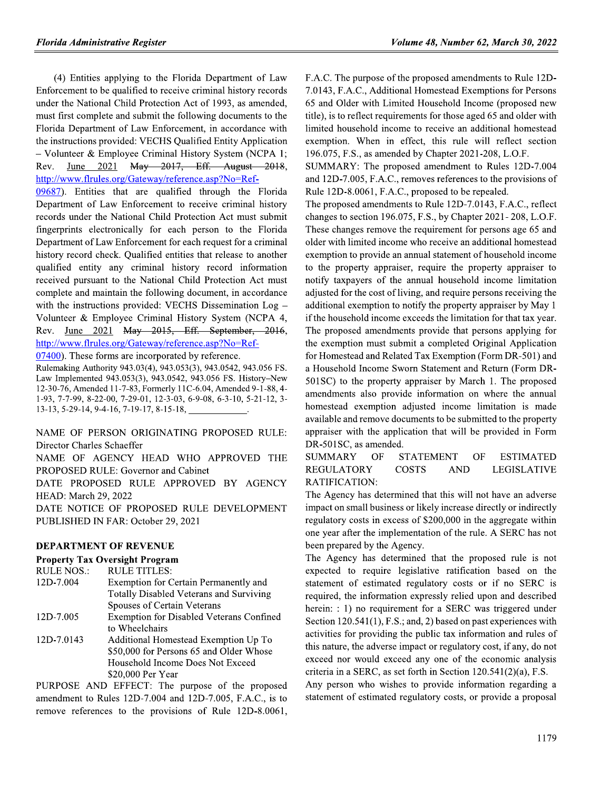(4) Entities applying to the Florida Department of Law Enforcement to be qualified to receive criminal history records under the National Child Protection Act of 1993, as amended, must first complete and submit the following documents to the Florida Department of Law Enforcement, in accordance with the instructions provided: VECHS Qualified Entity Application - Volunteer & Employee Criminal History System (NCPA 1; June 2021 May 2017, Eff. August 2018, Rev. http://www.flrules.org/Gateway/reference.asp?No=Ref-

09687). Entities that are qualified through the Florida Department of Law Enforcement to receive criminal history records under the National Child Protection Act must submit fingerprints electronically for each person to the Florida Department of Law Enforcement for each request for a criminal history record check. Qualified entities that release to another qualified entity any criminal history record information received pursuant to the National Child Protection Act must complete and maintain the following document, in accordance with the instructions provided: VECHS Dissemination Log -Volunteer & Employee Criminal History System (NCPA 4, Rev. June 2021 May 2015, Eff. September, 2016, http://www.flrules.org/Gateway/reference.asp?No=Ref-

07400). These forms are incorporated by reference.

Rulemaking Authority 943.03(4), 943.053(3), 943.0542, 943.056 FS. Law Implemented 943.053(3), 943.0542, 943.056 FS. History-New 12-30-76, Amended 11-7-83, Formerly 11C-6.04, Amended 9-1-88, 4-1-93, 7-7-99, 8-22-00, 7-29-01, 12-3-03, 6-9-08, 6-3-10, 5-21-12, 3-13-13, 5-29-14, 9-4-16, 7-19-17, 8-15-18,

NAME OF PERSON ORIGINATING PROPOSED RULE: Director Charles Schaeffer

NAME OF AGENCY HEAD WHO APPROVED THE PROPOSED RULE: Governor and Cabinet

DATE PROPOSED RULE APPROVED BY AGENCY HEAD: March 29, 2022

DATE NOTICE OF PROPOSED RULE DEVELOPMENT PUBLISHED IN FAR: October 29, 2021

# **DEPARTMENT OF REVENUE**

**Property Tax Oversight Program** 

| <b>RULE NOS.:</b> | <b>RULE TITLES:</b>                      |
|-------------------|------------------------------------------|
| 12D-7.004         | Exemption for Certain Permanently and    |
|                   | Totally Disabled Veterans and Surviving  |
|                   | Spouses of Certain Veterans              |
| 12D-7.005         | Exemption for Disabled Veterans Confined |
|                   | to Wheelchairs                           |
| 12D-7.0143        | Additional Homestead Exemption Up To     |
|                   | \$50,000 for Persons 65 and Older Whose  |
|                   | Household Income Does Not Exceed         |
|                   | \$20,000 Per Year                        |

PURPOSE AND EFFECT: The purpose of the proposed amendment to Rules 12D-7.004 and 12D-7.005, F.A.C., is to remove references to the provisions of Rule 12D-8.0061, F.A.C. The purpose of the proposed amendments to Rule 12D-7.0143, F.A.C., Additional Homestead Exemptions for Persons 65 and Older with Limited Household Income (proposed new title), is to reflect requirements for those aged 65 and older with limited household income to receive an additional homestead exemption. When in effect, this rule will reflect section 196.075, F.S., as amended by Chapter 2021-208, L.O.F.

SUMMARY: The proposed amendment to Rules 12D-7.004 and 12D-7.005, F.A.C., removes references to the provisions of Rule 12D-8.0061, F.A.C., proposed to be repealed.

The proposed amendments to Rule 12D-7.0143, F.A.C., reflect changes to section 196.075, F.S., by Chapter 2021-208, L.O.F. These changes remove the requirement for persons age 65 and older with limited income who receive an additional homestead exemption to provide an annual statement of household income to the property appraiser, require the property appraiser to notify taxpayers of the annual household income limitation adjusted for the cost of living, and require persons receiving the additional exemption to notify the property appraiser by May 1 if the household income exceeds the limitation for that tax year. The proposed amendments provide that persons applying for the exemption must submit a completed Original Application for Homestead and Related Tax Exemption (Form DR-501) and a Household Income Sworn Statement and Return (Form DR-501SC) to the property appraiser by March 1. The proposed amendments also provide information on where the annual homestead exemption adjusted income limitation is made available and remove documents to be submitted to the property appraiser with the application that will be provided in Form DR-501SC, as amended.

**SUMMARY** OF **STATEMENT OF ESTIMATED REGULATORY COSTS AND LEGISLATIVE** RATIFICATION:

The Agency has determined that this will not have an adverse impact on small business or likely increase directly or indirectly regulatory costs in excess of \$200,000 in the aggregate within one year after the implementation of the rule. A SERC has not been prepared by the Agency.

The Agency has determined that the proposed rule is not expected to require legislative ratification based on the statement of estimated regulatory costs or if no SERC is required, the information expressly relied upon and described herein: : 1) no requirement for a SERC was triggered under Section 120.541(1), F.S.; and, 2) based on past experiences with activities for providing the public tax information and rules of this nature, the adverse impact or regulatory cost, if any, do not exceed nor would exceed any one of the economic analysis criteria in a SERC, as set forth in Section  $120.541(2)(a)$ , F.S.

Any person who wishes to provide information regarding a statement of estimated regulatory costs, or provide a proposal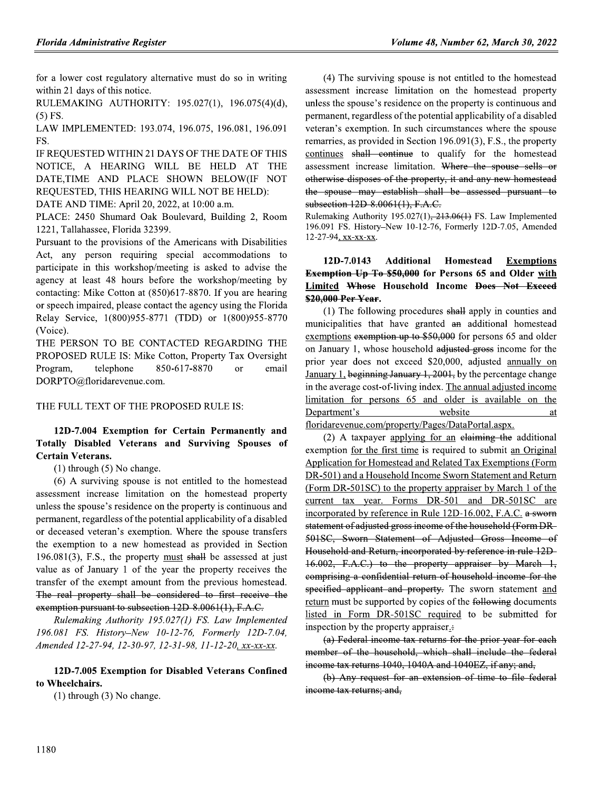for a lower cost regulatory alternative must do so in writing within 21 days of this notice.

RULEMAKING AUTHORITY: 195.027(1), 196.075(4)(d),  $(5)$  FS.

LAW IMPLEMENTED: 193.074, 196.075, 196.081, 196.091 FS.

IF REQUESTED WITHIN 21 DAYS OF THE DATE OF THIS NOTICE, A HEARING WILL BE HELD AT THE DATE, TIME AND PLACE SHOWN BELOW(IF NOT REQUESTED, THIS HEARING WILL NOT BE HELD):

DATE AND TIME: April 20, 2022, at 10:00 a.m.

PLACE: 2450 Shumard Oak Boulevard, Building 2, Room 1221, Tallahassee, Florida 32399.

Pursuant to the provisions of the Americans with Disabilities Act, any person requiring special accommodations to participate in this workshop/meeting is asked to advise the agency at least 48 hours before the workshop/meeting by contacting: Mike Cotton at (850)617-8870. If you are hearing or speech impaired, please contact the agency using the Florida Relay Service, 1(800)955-8771 (TDD) or 1(800)955-8770 (Voice).

THE PERSON TO BE CONTACTED REGARDING THE PROPOSED RULE IS: Mike Cotton, Property Tax Oversight 850-617-8870 Program, telephone email  $\alpha$ r DORPTO@floridarevenue.com.

# THE FULL TEXT OF THE PROPOSED RULE IS:

# 12D-7.004 Exemption for Certain Permanently and Totally Disabled Veterans and Surviving Spouses of **Certain Veterans.**

 $(1)$  through  $(5)$  No change.

(6) A surviving spouse is not entitled to the homestead assessment increase limitation on the homestead property unless the spouse's residence on the property is continuous and permanent, regardless of the potential applicability of a disabled or deceased veteran's exemption. Where the spouse transfers the exemption to a new homestead as provided in Section  $196.081(3)$ , F.S., the property must shall be assessed at just value as of January 1 of the year the property receives the transfer of the exempt amount from the previous homestead. The real property shall be considered to first receive the exemption pursuant to subsection 12D 8.0061(1), F.A.C.

Rulemaking Authority 195.027(1) FS. Law Implemented 196.081 FS. History-New 10-12-76, Formerly 12D-7.04, Amended 12-27-94, 12-30-97, 12-31-98, 11-12-20, xx-xx-xx.

12D-7.005 Exemption for Disabled Veterans Confined to Wheelchairs.

 $(1)$  through  $(3)$  No change.

(4) The surviving spouse is not entitled to the homestead assessment increase limitation on the homestead property unless the spouse's residence on the property is continuous and permanent, regardless of the potential applicability of a disabled veteran's exemption. In such circumstances where the spouse remarries, as provided in Section 196.091(3), F.S., the property continues shall continue to qualify for the homestead assessment increase limitation. Where the spouse sells or otherwise disposes of the property, it and any new homestead the spouse may establish shall be assessed pursuant to subsection 12D-8.0061(1), F.A.C.

Rulemaking Authority 195.027(1),  $213.06(1)$  FS. Law Implemented 196.091 FS. History-New 10-12-76, Formerly 12D-7.05, Amended 12-27-94, xx-xx-xx.

#### 12D-7.0143 **Additional Homestead Exemptions Exemption Up To \$50,000** for Persons 65 and Older with **Limited Whose Household Income Does Not Exceed** \$20,000 Per Year.

(1) The following procedures shall apply in counties and municipalities that have granted an additional homestead exemptions exemption up to \$50,000 for persons 65 and older on January 1, whose household adjusted gross income for the prior year does not exceed \$20,000, adjusted annually on January 1, beginning January 1, 2001, by the percentage change in the average cost-of-living index. The annual adjusted income limitation for persons 65 and older is available on the Department's website at

floridarevenue.com/property/Pages/DataPortal.aspx.

(2) A taxpayer applying for an elaiming the additional exemption for the first time is required to submit an Original Application for Homestead and Related Tax Exemptions (Form DR-501) and a Household Income Sworn Statement and Return (Form DR-501SC) to the property appraiser by March 1 of the current tax year. Forms DR-501 and DR-501SC are incorporated by reference in Rule 12D-16.002, F.A.C. a sworn statement of adjusted gross income of the household (Form DR-501SC, Sworn Statement of Adjusted Gross Income of Household and Return, incorporated by reference in rule 12D-16.002, F.A.C.) to the property appraiser by March 1, comprising a confidential return of household income for the specified applicant and property. The sworn statement and return must be supported by copies of the following documents listed in Form DR-501SC required to be submitted for inspection by the property appraiser.

(a) Federal income tax returns for the prior year for each member of the household, which shall include the federal income tax returns 1040, 1040A and 1040EZ, if any; and,

(b) Any request for an extension of time to file federal income tax returns; and,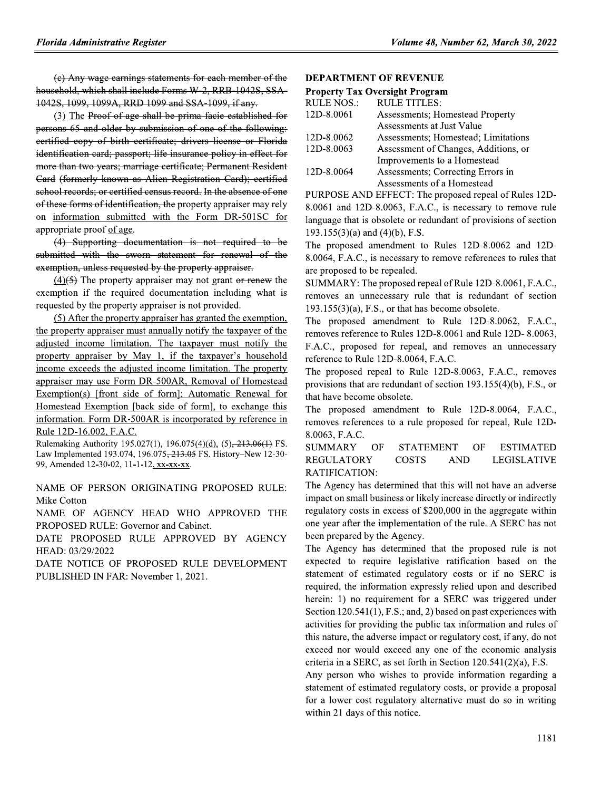(e) Any wage earnings statements for each member of the household, which shall include Forms W-2, RRB-1042S, SSA-1042S, 1099, 1099A, RRD 1099 and SSA-1099, if any.

(3) The Proof of age shall be prima facie established for persons 65 and older by submission of one of the following: eertified copy of birth certificate; drivers license or Florida identification card; passport; life insurance policy in effect for more than two years; marriage certificate; Permanent Resident Card (formerly known as Alien Registration Card); certified school records; or certified census record. In the absence of one of these forms of identification, the property appraiser may rely on information submitted with the Form DR-501SC for appropriate proof of age.

(4) Supporting documentation is not required to be submitted with the sworn statement for renewal of the exemption, unless requested by the property appraiser.

 $(4)$ (5) The property appraiser may not grant or renew the exemption if the required documentation including what is requested by the property appraiser is not provided.

(5) After the property appraiser has granted the exemption, the property appraiser must annually notify the taxpayer of the adjusted income limitation. The taxpayer must notify the property appraiser by May 1, if the taxpayer's household income exceeds the adjusted income limitation. The property appraiser may use Form DR-500AR, Removal of Homestead Exemption(s) [front side of form]; Automatic Renewal for Homestead Exemption [back side of form], to exchange this information. Form DR-500AR is incorporated by reference in Rule 12D-16.002, F.A.C.

Rulemaking Authority 195.027(1), 196.075(4)(d), (5), 213.06(1) FS. Law Implemented 193.074, 196.075<del>, 213.05</del> FS. History-New 12-30-99, Amended 12-30-02, 11-1-12, xx-xx-xx.

NAME OF PERSON ORIGINATING PROPOSED RULE: Mike Cotton

NAME OF AGENCY HEAD WHO APPROVED THE PROPOSED RULE: Governor and Cabinet.

DATE PROPOSED RULE APPROVED BY AGENCY HEAD: 03/29/2022

DATE NOTICE OF PROPOSED RULE DEVELOPMENT PUBLISHED IN FAR: November 1, 2021.

# **DEPARTMENT OF REVENUE**

## **Property Tax Oversight Program**

| <b>RULE NOS.:</b> | <b>RULE TITLES:</b>                     |
|-------------------|-----------------------------------------|
| 12D-8.0061        | <b>Assessments</b> ; Homestead Property |
|                   | Assessments at Just Value               |
| 12D-8.0062        | Assessments: Homestead: Limitations     |
| 12D-8.0063        | Assessment of Changes, Additions, or    |
|                   | Improvements to a Homestead             |
| 12D-8.0064        | Assessments; Correcting Errors in       |
|                   | Assessments of a Homestead              |
|                   |                                         |

PURPOSE AND EFFECT: The proposed repeal of Rules 12D-8.0061 and 12D-8.0063, F.A.C., is necessary to remove rule language that is obsolete or redundant of provisions of section  $193.155(3)(a)$  and  $(4)(b)$ , F.S.

The proposed amendment to Rules 12D-8.0062 and 12D-8.0064, F.A.C., is necessary to remove references to rules that are proposed to be repealed.

SUMMARY: The proposed repeal of Rule 12D-8.0061, F.A.C., removes an unnecessary rule that is redundant of section  $193.155(3)(a)$ , F.S., or that has become obsolete.

The proposed amendment to Rule 12D-8.0062, F.A.C., removes reference to Rules 12D-8.0061 and Rule 12D-8.0063, F.A.C., proposed for repeal, and removes an unnecessary reference to Rule 12D-8.0064, F.A.C.

The proposed repeal to Rule 12D-8.0063, F.A.C., removes provisions that are redundant of section 193.155(4)(b), F.S., or that have become obsolete.

The proposed amendment to Rule 12D-8.0064, F.A.C., removes references to a rule proposed for repeal, Rule 12D-8.0063, F.A.C.

**SUMMARY** OF **STATEMENT** OF **ESTIMATED REGULATORY COSTS AND LEGISLATIVE** RATIFICATION:

The Agency has determined that this will not have an adverse impact on small business or likely increase directly or indirectly regulatory costs in excess of \$200,000 in the aggregate within one year after the implementation of the rule. A SERC has not been prepared by the Agency.

The Agency has determined that the proposed rule is not expected to require legislative ratification based on the statement of estimated regulatory costs or if no SERC is required, the information expressly relied upon and described herein: 1) no requirement for a SERC was triggered under Section 120.541(1), F.S.; and, 2) based on past experiences with activities for providing the public tax information and rules of this nature, the adverse impact or regulatory cost, if any, do not exceed nor would exceed any one of the economic analysis criteria in a SERC, as set forth in Section  $120.541(2)(a)$ , F.S.

Any person who wishes to provide information regarding a statement of estimated regulatory costs, or provide a proposal for a lower cost regulatory alternative must do so in writing within 21 days of this notice.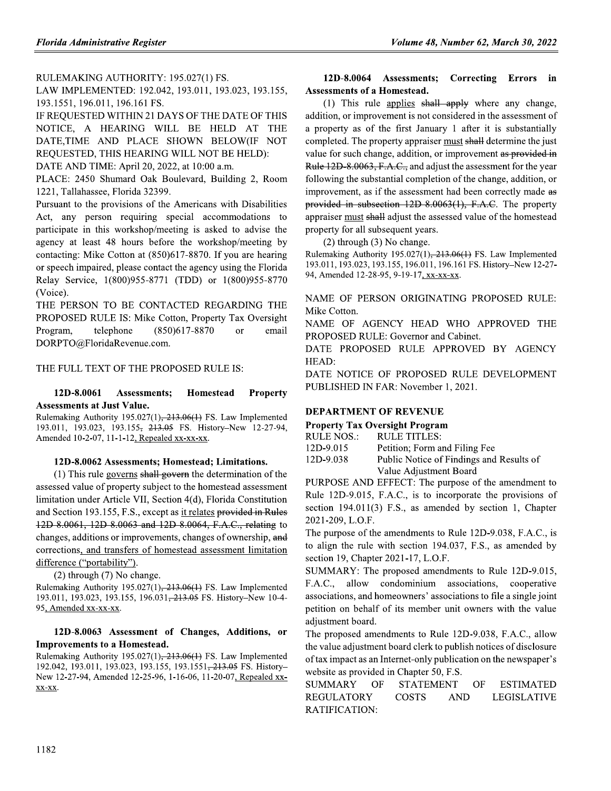RULEMAKING AUTHORITY: 195.027(1) FS.

LAW IMPLEMENTED: 192.042, 193.011, 193.023, 193.155, 193.1551, 196.011, 196.161 FS.

IF REQUESTED WITHIN 21 DAYS OF THE DATE OF THIS NOTICE, A HEARING WILL BE HELD AT THE DATE,TIME AND PLACE SHOWN BELOW(IF NOT REQUESTED, THIS HEARING WILL NOT BE HELD):

DATE AND TIME: April 20, 2022, at 10:00 a.m.

PLACE: 2450 Shumard Oak Boulevard, Building 2, Room 1221, Tallahassee, Florida 32399.

Pursuant to the provisions of the Americans with Disabilities Act, any person requiring special accommodations to participate in this workshop/meeting is asked to advise the agency at least 48 hours before the workshop/meeting by contacting: Mike Cotton at (850)617-8870. If you are hearing or speech impaired, please contact the agency using the Florida Relay Service, 1(800)955-8771 (TDD) or 1(800)955-8770 (Voice).

THE PERSON TO BE CONTACTED REGARDING THE PROPOSED RULE IS: Mike Cotton, Property Tax Oversight telephone  $(850)617 - 8870$ Program, or email DORPTO@FloridaRevenue.com.

# THE FULL TEXT OF THE PROPOSED RULE IS:

#### 12D-8.0061 **Assessments: Homestead Property Assessments at Just Value.**

Rulemaking Authority 195.027(1),  $213.06(1)$  FS. Law Implemented 193.011, 193.023, 193.155, 213.05 FS. History–New 12-27-94, Amended 10-2-07, 11-1-12, Repealed xx-xx-xx.

# 12D-8.0062 Assessments; Homestead; Limitations.

 $(1)$  This rule governs shall govern the determination of the assessed value of property subject to the homestead assessment limitation under Article VII, Section 4(d), Florida Constitution and Section 193.155, F.S., except as it relates provided in Rules 12D 8.0061, 12D 8.0063 and 12D 8.0064, F.A.C., relating to changes, additions or improvements, changes of ownership, and corrections, and transfers of homestead assessment limitation difference ("portability").

 $(2)$  through  $(7)$  No change.

Rulemaking Authority 195.027(1), 213.06(1) FS. Law Implemented 193.011, 193.023, 193.155, 196.031<del>, 213.05</del> FS. History-New 10-4-95, Amended xx-xx-xx.

# 12D-8.0063 Assessment of Changes, Additions, or **Improvements to a Homestead.**

Rulemaking Authority 195.027(1), 213.06(1) FS. Law Implemented 192.042, 193.011, 193.023, 193.155, 193.1551<del>, 213.05</del> FS. History-New 12-27-94, Amended 12-25-96, 1-16-06, 11-20-07, Repealed xx- $XX-XX$ .

# 12D-8.0064 Assessments; Correcting Errors in **Assessments of a Homestead.**

(1) This rule applies  $shall$  apply where any change, addition, or improvement is not considered in the assessment of a property as of the first January 1 after it is substantially completed. The property appraiser must shall determine the just value for such change, addition, or improvement as provided in Rule 12D 8.0063, F.A.C., and adjust the assessment for the year following the substantial completion of the change, addition, or improvement, as if the assessment had been correctly made as provided in subsection 12D 8.0063(1), F.A.C. The property appraiser must shall adjust the assessed value of the homestead property for all subsequent years.

 $(2)$  through  $(3)$  No change.

Rulemaking Authority 195.027(1), 213.06(1) FS. Law Implemented 193.011, 193.023, 193.155, 196.011, 196.161 FS. History-New 12-27-94, Amended 12-28-95, 9-19-17, xx-xx-xx.

NAME OF PERSON ORIGINATING PROPOSED RULE: Mike Cotton.

NAME OF AGENCY HEAD WHO APPROVED THE PROPOSED RULE: Governor and Cabinet.

DATE PROPOSED RULE APPROVED BY AGENCY HEAD:

DATE NOTICE OF PROPOSED RULE DEVELOPMENT PUBLISHED IN FAR: November 1, 2021.

# **DEPARTMENT OF REVENUE**

| <b>Property Tax Oversight Program</b> |                                          |  |  |  |
|---------------------------------------|------------------------------------------|--|--|--|
| RULE NOS.:                            | RULE TITLES:                             |  |  |  |
| 12D-9.015                             | Petition; Form and Filing Fee            |  |  |  |
| 12D-9.038                             | Public Notice of Findings and Results of |  |  |  |
|                                       | Value Adjustment Board                   |  |  |  |

PURPOSE AND EFFECT: The purpose of the amendment to Rule 12D-9.015, F.A.C., is to incorporate the provisions of section 194.011(3) F.S., as amended by section 1, Chapter 2021-209, L.O.F.

The purpose of the amendments to Rule 12D-9.038, F.A.C., is to align the rule with section 194.037, F.S., as amended by section 19, Chapter 2021-17, L.O.F.

SUMMARY: The proposed amendments to Rule 12D-9.015, F.A.C., allow condominium associations, cooperative associations, and homeowners' associations to file a single joint petition on behalf of its member unit owners with the value adjustment board.

The proposed amendments to Rule 12D-9.038, F.A.C., allow the value adjustment board clerk to publish notices of disclosure of tax impact as an Internet-only publication on the newspaper's website as provided in Chapter 50, F.S.

| SUMMARY OF    | STATEMENT OF |      | ESTIMATED          |
|---------------|--------------|------|--------------------|
| REGULATORY    | - COSTS      | AND. | <b>LEGISLATIVE</b> |
| RATIFICATION: |              |      |                    |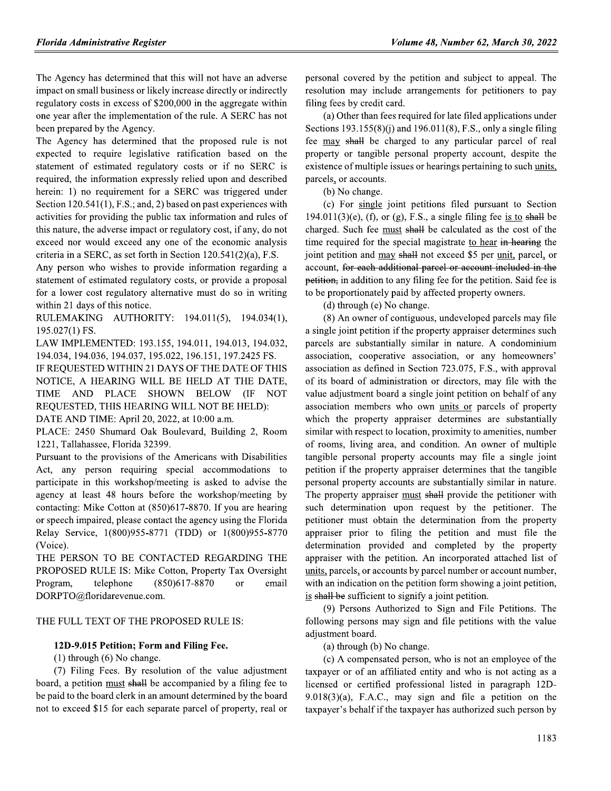The Agency has determined that this will not have an adverse impact on small business or likely increase directly or indirectly regulatory costs in excess of \$200,000 in the aggregate within one year after the implementation of the rule. A SERC has not been prepared by the Agency.

The Agency has determined that the proposed rule is not expected to require legislative ratification based on the statement of estimated regulatory costs or if no SERC is required, the information expressly relied upon and described herein: 1) no requirement for a SERC was triggered under Section 120.541(1), F.S.; and, 2) based on past experiences with activities for providing the public tax information and rules of this nature, the adverse impact or regulatory cost, if any, do not exceed nor would exceed any one of the economic analysis criteria in a SERC, as set forth in Section  $120.541(2)(a)$ , F.S.

Any person who wishes to provide information regarding a statement of estimated regulatory costs, or provide a proposal for a lower cost regulatory alternative must do so in writing within 21 days of this notice.

RULEMAKING AUTHORITY: 194.011(5), 194.034(1), 195.027(1) FS.

LAW IMPLEMENTED: 193.155, 194.011, 194.013, 194.032, 194.034, 194.036, 194.037, 195.022, 196.151, 197.2425 FS.

IF REQUESTED WITHIN 21 DAYS OF THE DATE OF THIS NOTICE, A HEARING WILL BE HELD AT THE DATE, TIME AND PLACE SHOWN BELOW (IF NOT REQUESTED, THIS HEARING WILL NOT BE HELD):

DATE AND TIME: April 20, 2022, at 10:00 a.m.

PLACE: 2450 Shumard Oak Boulevard, Building 2, Room 1221, Tallahassee, Florida 32399.

Pursuant to the provisions of the Americans with Disabilities Act, any person requiring special accommodations to participate in this workshop/meeting is asked to advise the agency at least 48 hours before the workshop/meeting by contacting: Mike Cotton at (850)617-8870. If you are hearing or speech impaired, please contact the agency using the Florida Relay Service, 1(800)955-8771 (TDD) or 1(800)955-8770 (Voice).

THE PERSON TO BE CONTACTED REGARDING THE PROPOSED RULE IS: Mike Cotton, Property Tax Oversight telephone  $(850)617 - 8870$ Program. <sub>or</sub> email DORPTO@floridarevenue.com.

# THE FULL TEXT OF THE PROPOSED RULE IS:

# 12D-9.015 Petition; Form and Filing Fee.

 $(1)$  through  $(6)$  No change.

(7) Filing Fees. By resolution of the value adjustment board, a petition must shall be accompanied by a filing fee to be paid to the board clerk in an amount determined by the board not to exceed \$15 for each separate parcel of property, real or

personal covered by the petition and subject to appeal. The resolution may include arrangements for petitioners to pay filing fees by credit card.

(a) Other than fees required for late filed applications under Sections  $193.155(8)(i)$  and  $196.011(8)$ , F.S., only a single filing fee may shall be charged to any particular parcel of real property or tangible personal property account, despite the existence of multiple issues or hearings pertaining to such units, parcels, or accounts.

(b) No change.

(c) For single joint petitions filed pursuant to Section  $194.011(3)(e)$ , (f), or (g), F.S., a single filing fee is to shall be charged. Such fee must shall be calculated as the cost of the time required for the special magistrate to hear in hearing the joint petition and may shall not exceed \$5 per unit, parcel, or account, for each additional parcel or account included in the petition, in addition to any filing fee for the petition. Said fee is to be proportionately paid by affected property owners.

(d) through (e) No change.

(8) An owner of contiguous, undeveloped parcels may file a single joint petition if the property appraiser determines such parcels are substantially similar in nature. A condominium association, cooperative association, or any homeowners' association as defined in Section 723.075, F.S., with approval of its board of administration or directors, may file with the value adjustment board a single joint petition on behalf of any association members who own units or parcels of property which the property appraiser determines are substantially similar with respect to location, proximity to amenities, number of rooms, living area, and condition. An owner of multiple tangible personal property accounts may file a single joint petition if the property appraiser determines that the tangible personal property accounts are substantially similar in nature. The property appraiser must shall provide the petitioner with such determination upon request by the petitioner. The petitioner must obtain the determination from the property appraiser prior to filing the petition and must file the determination provided and completed by the property appraiser with the petition. An incorporated attached list of units, parcels, or accounts by parcel number or account number, with an indication on the petition form showing a joint petition, is shall be sufficient to signify a joint petition.

(9) Persons Authorized to Sign and File Petitions. The following persons may sign and file petitions with the value adjustment board.

(a) through (b) No change.

(c) A compensated person, who is not an employee of the taxpayer or of an affiliated entity and who is not acting as a licensed or certified professional listed in paragraph 12D- $9.018(3)(a)$ , F.A.C., may sign and file a petition on the taxpayer's behalf if the taxpayer has authorized such person by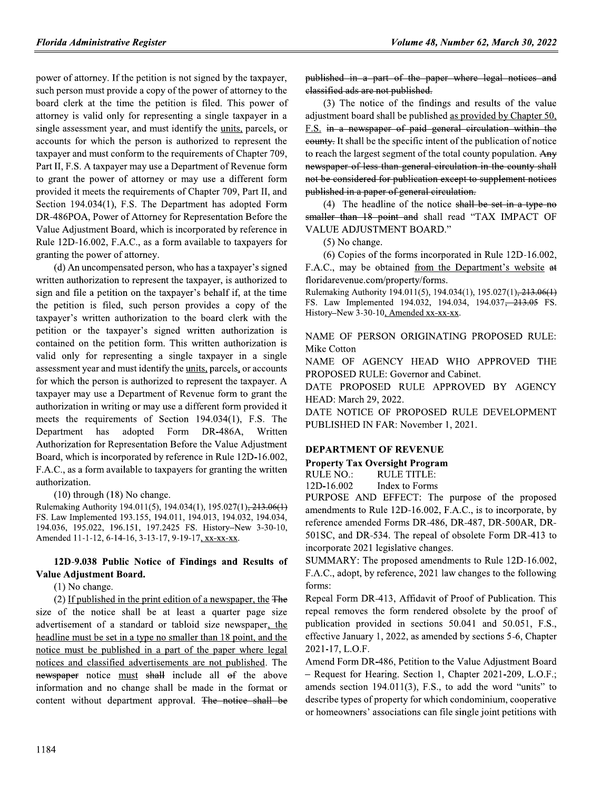power of attorney. If the petition is not signed by the taxpayer, such person must provide a copy of the power of attorney to the board clerk at the time the petition is filed. This power of attorney is valid only for representing a single taxpayer in a single assessment year, and must identify the units, parcels, or accounts for which the person is authorized to represent the taxpayer and must conform to the requirements of Chapter 709, Part II, F.S. A taxpayer may use a Department of Revenue form to grant the power of attorney or may use a different form provided it meets the requirements of Chapter 709, Part II, and Section 194.034(1), F.S. The Department has adopted Form DR-486POA, Power of Attorney for Representation Before the Value Adjustment Board, which is incorporated by reference in Rule 12D-16.002, F.A.C., as a form available to taxpayers for granting the power of attorney.

(d) An uncompensated person, who has a taxpayer's signed written authorization to represent the taxpayer, is authorized to sign and file a petition on the taxpayer's behalf if, at the time the petition is filed, such person provides a copy of the taxpayer's written authorization to the board clerk with the petition or the taxpayer's signed written authorization is contained on the petition form. This written authorization is valid only for representing a single taxpayer in a single assessment year and must identify the units, parcels, or accounts for which the person is authorized to represent the taxpayer. A taxpayer may use a Department of Revenue form to grant the authorization in writing or may use a different form provided it meets the requirements of Section 194.034(1), F.S. The adopted Form Department has DR-486A, Written Authorization for Representation Before the Value Adjustment Board, which is incorporated by reference in Rule 12D-16.002, F.A.C., as a form available to taxpayers for granting the written authorization.

 $(10)$  through  $(18)$  No change.

Rulemaking Authority 194.011(5), 194.034(1), 195.027(1), 213.06(1) FS. Law Implemented 193.155, 194.011, 194.013, 194.032, 194.034, 194.036, 195.022, 196.151, 197.2425 FS. History-New 3-30-10, Amended 11-1-12, 6-14-16, 3-13-17, 9-19-17, xx-xx-xx.

# 12D-9.038 Public Notice of Findings and Results of Value Adjustment Board.

(1) No change.

 $(2)$  If published in the print edition of a newspaper, the  $\overline{F}$ size of the notice shall be at least a quarter page size advertisement of a standard or tabloid size newspaper, the headline must be set in a type no smaller than 18 point, and the notice must be published in a part of the paper where legal notices and classified advertisements are not published. The newspaper notice must shall include all of the above information and no change shall be made in the format or content without department approval. The notice shall be

published in a part of the paper where legal notices and classified ads are not published.

(3) The notice of the findings and results of the value adjustment board shall be published as provided by Chapter 50, F.S. in a newspaper of paid general circulation within the eounty. It shall be the specific intent of the publication of notice to reach the largest segment of the total county population. Any newspaper of less than general circulation in the county shall not be considered for publication except to supplement notices published in a paper of general circulation.

(4) The headline of the notice shall be set in a type no smaller than 18 point and shall read "TAX IMPACT OF **VALUE ADJUSTMENT BOARD."** 

(5) No change.

(6) Copies of the forms incorporated in Rule 12D-16.002, F.A.C., may be obtained from the Department's website at floridarevenue.com/property/forms.

Rulemaking Authority 194.011(5), 194.034(1), 195.027(1), 213.06(1) FS. Law Implemented 194.032, 194.034, 194.037<del>, 213.05</del> FS. History-New 3-30-10, Amended xx-xx-xx.

NAME OF PERSON ORIGINATING PROPOSED RULE: Mike Cotton

NAME OF AGENCY HEAD WHO APPROVED THE PROPOSED RULE: Governor and Cabinet.

DATE PROPOSED RULE APPROVED BY AGENCY HEAD: March 29, 2022.

DATE NOTICE OF PROPOSED RULE DEVELOPMENT PUBLISHED IN FAR: November 1, 2021.

# **DEPARTMENT OF REVENUE**

# **Property Tax Oversight Program**

**RULE NO.: RULE TITLE:** 12D-16.002 Index to Forms

PURPOSE AND EFFECT: The purpose of the proposed amendments to Rule 12D-16.002, F.A.C., is to incorporate, by reference amended Forms DR-486, DR-487, DR-500AR, DR-501SC, and DR-534. The repeal of obsolete Form DR-413 to incorporate 2021 legislative changes.

SUMMARY: The proposed amendments to Rule 12D-16.002, F.A.C., adopt, by reference, 2021 law changes to the following forms:

Repeal Form DR-413, Affidavit of Proof of Publication. This repeal removes the form rendered obsolete by the proof of publication provided in sections 50.041 and 50.051, F.S., effective January 1, 2022, as amended by sections 5-6, Chapter 2021-17, L.O.F.

Amend Form DR-486, Petition to the Value Adjustment Board - Request for Hearing. Section 1, Chapter 2021-209, L.O.F.; amends section 194.011(3), F.S., to add the word "units" to describe types of property for which condominium, cooperative or homeowners' associations can file single joint petitions with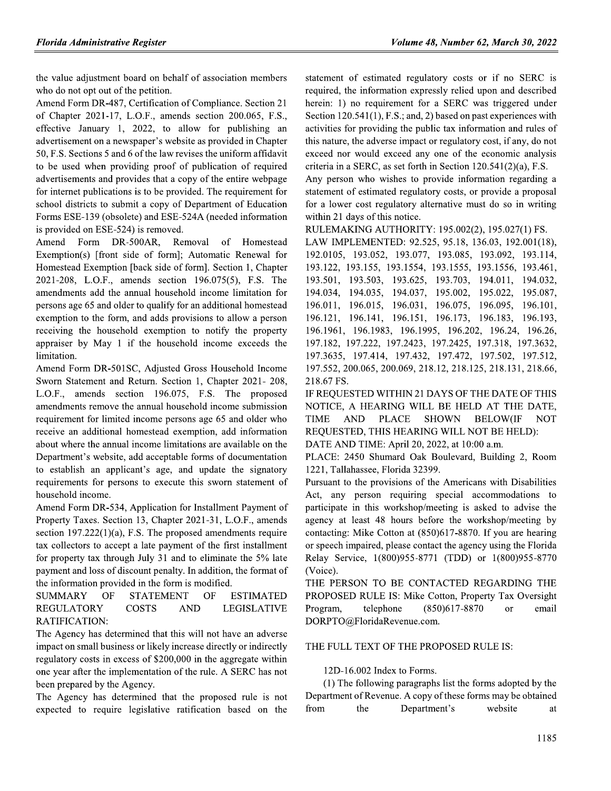the value adjustment board on behalf of association members who do not opt out of the petition.

Amend Form DR-487, Certification of Compliance. Section 21 of Chapter 2021-17, L.O.F., amends section 200.065, F.S., effective January 1, 2022, to allow for publishing an advertisement on a newspaper's website as provided in Chapter 50, F.S. Sections 5 and 6 of the law revises the uniform affidavit to be used when providing proof of publication of required advertisements and provides that a copy of the entire webpage for internet publications is to be provided. The requirement for school districts to submit a copy of Department of Education Forms ESE-139 (obsolete) and ESE-524A (needed information is provided on ESE-524) is removed.

Amend Form DR-500AR, Removal of Homestead Exemption(s) [front side of form]; Automatic Renewal for Homestead Exemption [back side of form]. Section 1, Chapter 2021-208, L.O.F., amends section 196.075(5), F.S. The amendments add the annual household income limitation for persons age 65 and older to qualify for an additional homestead exemption to the form, and adds provisions to allow a person receiving the household exemption to notify the property appraiser by May 1 if the household income exceeds the limitation.

Amend Form DR-501SC, Adjusted Gross Household Income Sworn Statement and Return. Section 1, Chapter 2021-208, L.O.F., amends section 196.075, F.S. The proposed amendments remove the annual household income submission requirement for limited income persons age 65 and older who receive an additional homestead exemption, add information about where the annual income limitations are available on the Department's website, add acceptable forms of documentation to establish an applicant's age, and update the signatory requirements for persons to execute this sworn statement of household income.

Amend Form DR-534, Application for Installment Payment of Property Taxes. Section 13, Chapter 2021-31, L.O.F., amends section  $197.222(1)(a)$ , F.S. The proposed amendments require tax collectors to accept a late payment of the first installment for property tax through July 31 and to eliminate the 5% late payment and loss of discount penalty. In addition, the format of the information provided in the form is modified.

**SUMMARY** OF **STATEMENT** OF **ESTIMATED REGULATORY COSTS AND LEGISLATIVE** RATIFICATION:

The Agency has determined that this will not have an adverse impact on small business or likely increase directly or indirectly regulatory costs in excess of \$200,000 in the aggregate within one year after the implementation of the rule. A SERC has not been prepared by the Agency.

The Agency has determined that the proposed rule is not expected to require legislative ratification based on the

statement of estimated regulatory costs or if no SERC is required, the information expressly relied upon and described herein: 1) no requirement for a SERC was triggered under Section 120.541(1), F.S.; and, 2) based on past experiences with activities for providing the public tax information and rules of this nature, the adverse impact or regulatory cost, if any, do not exceed nor would exceed any one of the economic analysis criteria in a SERC, as set forth in Section  $120.541(2)(a)$ , F.S.

Any person who wishes to provide information regarding a statement of estimated regulatory costs, or provide a proposal for a lower cost regulatory alternative must do so in writing within 21 days of this notice.

RULEMAKING AUTHORITY: 195.002(2), 195.027(1) FS.

LAW IMPLEMENTED: 92.525, 95.18, 136.03, 192.001(18), 192.0105, 193.052, 193.077, 193.085, 193.092, 193.114, 193.122, 193.155, 193.1554, 193.1555, 193.1556, 193.461, 193.501, 193.503, 193.625, 193.703, 194.011, 194.032, 194.034, 194.035, 194.037, 195.002, 195.022, 195.087, 196.011, 196.015, 196.031, 196.075, 196.095, 196.101, 196.121, 196.141, 196.151, 196.173, 196.183, 196.193, 196.1961, 196.1983, 196.1995, 196.202, 196.24, 196.26, 197.182, 197.222, 197.2423, 197.2425, 197.318, 197.3632, 197.3635, 197.414, 197.432, 197.472, 197.502, 197.512, 197.552, 200.065, 200.069, 218.12, 218.125, 218.131, 218.66, 218.67 FS.

IF REQUESTED WITHIN 21 DAYS OF THE DATE OF THIS NOTICE, A HEARING WILL BE HELD AT THE DATE, **TIME AND PLACE SHOWN BELOW(IF NOT** REQUESTED, THIS HEARING WILL NOT BE HELD):

DATE AND TIME: April 20, 2022, at 10:00 a.m.

PLACE: 2450 Shumard Oak Boulevard, Building 2, Room 1221. Tallahassee. Florida 32399.

Pursuant to the provisions of the Americans with Disabilities Act, any person requiring special accommodations to participate in this workshop/meeting is asked to advise the agency at least 48 hours before the workshop/meeting by contacting: Mike Cotton at (850)617-8870. If you are hearing or speech impaired, please contact the agency using the Florida Relay Service, 1(800)955-8771 (TDD) or 1(800)955-8770 (Voice).

THE PERSON TO BE CONTACTED REGARDING THE PROPOSED RULE IS: Mike Cotton, Property Tax Oversight Program, telephone  $(850)617 - 8870$ email <sub>or</sub> DORPTO@FloridaRevenue.com.

# THE FULL TEXT OF THE PROPOSED RULE IS:

# 12D-16.002 Index to Forms.

(1) The following paragraphs list the forms adopted by the Department of Revenue. A copy of these forms may be obtained from Department's website the **at**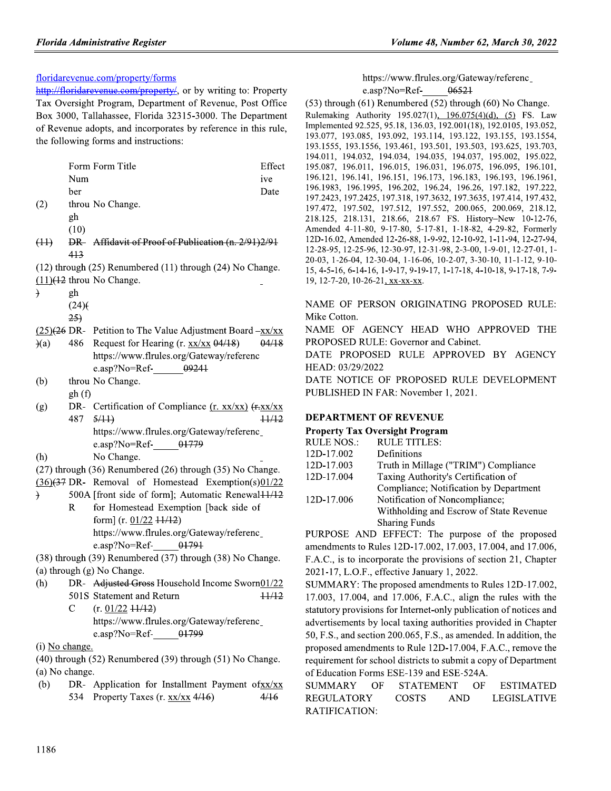# floridarevenue.com/property/forms

http://floridarevenue.com/property/, or by writing to: Property Tax Oversight Program, Department of Revenue, Post Office Box 3000, Tallahassee, Florida 32315-3000. The Department of Revenue adopts, and incorporates by reference in this rule, the following forms and instructions:

|      |       | Form Form Title                                                | Effect |
|------|-------|----------------------------------------------------------------|--------|
|      | Num   |                                                                | ive    |
|      | ber   |                                                                | Date   |
| (2)  |       | throu No Change.                                               |        |
|      | gh    |                                                                |        |
|      | (10)  |                                                                |        |
| (11) |       | DR- Affidavit of Proof of Publication (n. 2/91)2/91            |        |
|      | 413   |                                                                |        |
|      |       | (12) through (25) Renumbered (11) through (24) No Change.      |        |
|      |       | $(11)(12)$ throu No Change.                                    |        |
| €    | gh    |                                                                |        |
|      | (24)  |                                                                |        |
|      | 25)   |                                                                |        |
|      |       | $(25)(26)$ DR- Petition to The Value Adjustment Board $-xx/xx$ |        |
| (a)  |       | 486 Request for Hearing (r. xx/xx 04/18)                       | 04/18  |
|      |       | https://www.flrules.org/Gateway/referenc                       |        |
|      |       | $e.$ asp?No=Ref- $09241$                                       |        |
| (b)  |       | throu No Change.                                               |        |
|      | gh(f) |                                                                |        |
| (g)  |       | DR- Certification of Compliance (r. xx/xx) (r-xx/xx)           |        |
|      | 487   | 5/11                                                           | +1/12  |
|      |       | https://www.flrules.org/Gateway/referenc_                      |        |
|      |       | e.asp?No=Ref- $01779$                                          |        |
| (h)  |       | No Change.                                                     |        |
|      |       | (27) through (36) Renumbered (26) through (35) No Change.      |        |

- $(36)(37)$  DR- Removal of Homestead Exemption(s)01/22
- 500A [front side of form]; Automatic Renewal11/12 for Homestead Exemption [back side of  $\mathbf R$ form]  $(r. 01/22 +1/12)$ https://www.flrules.org/Gateway/referenc\_ 01791 e.asp?No=Ref-

(38) through (39) Renumbered (37) through (38) No Change. (a) through (g) No Change.

- DR- Adjusted Gross Household Income Sworn01/22  $(h)$  $11/12$ 501S Statement and Return
	- $(r. 01/22 + 1/12)$  $\mathbf C$ https://www.flrules.org/Gateway/referenc\_ 01799 e.asp?No=Ref-
- (i) No change.

 $(40)$  through  $(52)$  Renumbered  $(39)$  through  $(51)$  No Change. (a) No change.

 $(b)$ DR- Application for Installment Payment ofxx/xx 534 Property Taxes (r. xx/xx 4/16)  $4/16$ 

https://www.flrules.org/Gateway/referenc\_ 06521 e.asp?No=Ref-

 $(53)$  through  $(61)$  Renumbered  $(52)$  through  $(60)$  No Change. Rulemaking Authority 195.027(1), 196.075(4)(d), (5) FS. Law Implemented 92.525, 95.18, 136.03, 192.001(18), 192.0105, 193.052, 193.077, 193.085, 193.092, 193.114, 193.122, 193.155, 193.1554, 193.1555, 193.1556, 193.461, 193.501, 193.503, 193.625, 193.703, 194.011, 194.032, 194.034, 194.035, 194.037, 195.002, 195.022, 195.087, 196.011, 196.015, 196.031, 196.075, 196.095, 196.101, 196.121, 196.141, 196.151, 196.173, 196.183, 196.193, 196.1961, 196.1983, 196.1995, 196.202, 196.24, 196.26, 197.182, 197.222, 197.2423, 197.2425, 197.318, 197.3632, 197.3635, 197.414, 197.432, 197.472, 197.502, 197.512, 197.552, 200.065, 200.069, 218.12, 218.125, 218.131, 218.66, 218.67 FS. History-New 10-12-76, Amended 4-11-80, 9-17-80, 5-17-81, 1-18-82, 4-29-82, Formerly 12D-16.02, Amended 12-26-88, 1-9-92, 12-10-92, 1-11-94, 12-27-94, 12-28-95, 12-25-96, 12-30-97, 12-31-98, 2-3-00, 1-9-01, 12-27-01, 1-20-03, 1-26-04, 12-30-04, 1-16-06, 10-2-07, 3-30-10, 11-1-12, 9-10-15, 4-5-16, 6-14-16, 1-9-17, 9-19-17, 1-17-18, 4-10-18, 9-17-18, 7-9-19, 12-7-20, 10-26-21, xx-xx-xx.

NAME OF PERSON ORIGINATING PROPOSED RULE: Mike Cotton.

NAME OF AGENCY HEAD WHO APPROVED THE PROPOSED RULE: Governor and Cabinet.

DATE PROPOSED RULE APPROVED BY AGENCY HEAD: 03/29/2022

DATE NOTICE OF PROPOSED RULE DEVELOPMENT PUBLISHED IN FAR: November 1, 2021.

# **DEPARTMENT OF REVENUE**

# **Property Tax Oversight Program**

| <b>RULE NOS.:</b> | <b>RULE TITLES:</b>                     |
|-------------------|-----------------------------------------|
| 12D-17.002        | Definitions                             |
| 12D-17.003        | Truth in Millage ("TRIM") Compliance    |
| 12D-17.004        | Taxing Authority's Certification of     |
|                   | Compliance; Notification by Department  |
| 12D-17.006        | Notification of Noncompliance;          |
|                   | Withholding and Escrow of State Revenue |
|                   | <b>Sharing Funds</b>                    |
|                   |                                         |

PURPOSE AND EFFECT: The purpose of the proposed amendments to Rules 12D-17.002, 17.003, 17.004, and 17.006, F.A.C., is to incorporate the provisions of section 21, Chapter 2021-17, L.O.F., effective January 1, 2022.

SUMMARY: The proposed amendments to Rules 12D-17.002, 17.003, 17.004, and 17.006, F.A.C., align the rules with the statutory provisions for Internet-only publication of notices and advertisements by local taxing authorities provided in Chapter 50, F.S., and section 200.065, F.S., as amended. In addition, the proposed amendments to Rule 12D-17.004, F.A.C., remove the requirement for school districts to submit a copy of Department of Education Forms ESE-139 and ESE-524A.

| SUMMARY OF    | STATEMENT |      | OF ESTIMATED |
|---------------|-----------|------|--------------|
| REGULATORY    | COSTS     | AND. | LEGISLATIVE  |
| RATIFICATION: |           |      |              |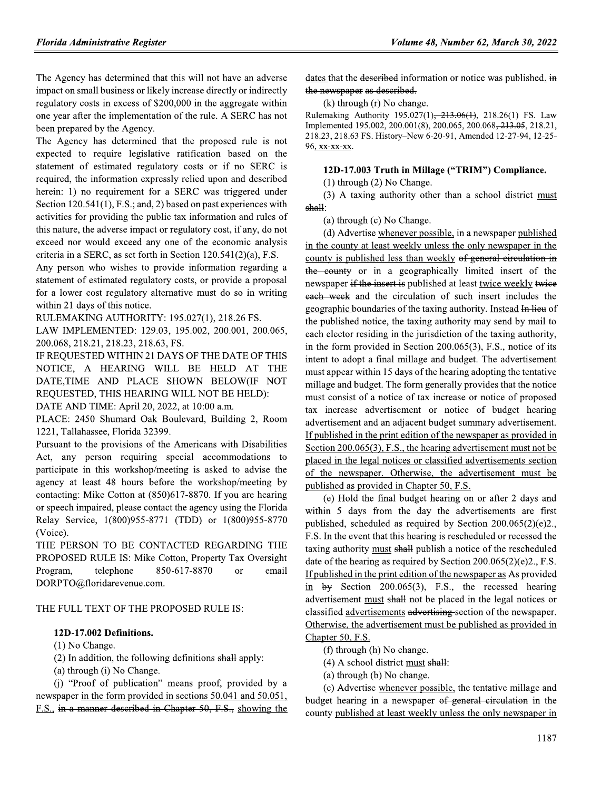The Agency has determined that this will not have an adverse impact on small business or likely increase directly or indirectly regulatory costs in excess of \$200,000 in the aggregate within one year after the implementation of the rule. A SERC has not been prepared by the Agency.

The Agency has determined that the proposed rule is not expected to require legislative ratification based on the statement of estimated regulatory costs or if no SERC is required, the information expressly relied upon and described herein: 1) no requirement for a SERC was triggered under Section 120.541(1), F.S.; and, 2) based on past experiences with activities for providing the public tax information and rules of this nature, the adverse impact or regulatory cost, if any, do not exceed nor would exceed any one of the economic analysis criteria in a SERC, as set forth in Section  $120.541(2)(a)$ , F.S.

Any person who wishes to provide information regarding a statement of estimated regulatory costs, or provide a proposal for a lower cost regulatory alternative must do so in writing within 21 days of this notice.

RULEMAKING AUTHORITY: 195.027(1), 218.26 FS.

LAW IMPLEMENTED: 129.03, 195.002, 200.001, 200.065, 200.068, 218.21, 218.23, 218.63, FS.

IF REQUESTED WITHIN 21 DAYS OF THE DATE OF THIS NOTICE, A HEARING WILL BE HELD AT THE DATE,TIME AND PLACE SHOWN BELOW(IF NOT REQUESTED, THIS HEARING WILL NOT BE HELD):

DATE AND TIME: April 20, 2022, at 10:00 a.m.

PLACE: 2450 Shumard Oak Boulevard, Building 2, Room 1221, Tallahassee, Florida 32399.

Pursuant to the provisions of the Americans with Disabilities Act, any person requiring special accommodations to participate in this workshop/meeting is asked to advise the agency at least 48 hours before the workshop/meeting by contacting: Mike Cotton at (850)617-8870. If you are hearing or speech impaired, please contact the agency using the Florida Relay Service, 1(800)955-8771 (TDD) or 1(800)955-8770 (Voice).

THE PERSON TO BE CONTACTED REGARDING THE PROPOSED RULE IS: Mike Cotton, Property Tax Oversight Program, telephone 850-617-8870 email <sub>or</sub> DORPTO@floridarevenue.com.

# THE FULL TEXT OF THE PROPOSED RULE IS:

# 12D-17.002 Definitions.

 $(1)$  No Change.

(2) In addition, the following definitions shall apply:

(a) through (i) No Change.

(i) "Proof of publication" means proof, provided by a newspaper in the form provided in sections 50.041 and 50.051, F.S., in a manner described in Chapter 50, F.S., showing the

dates that the described information or notice was published. in the newspaper as described.

 $(k)$  through  $(r)$  No change.

Rulemaking Authority 195.027(1), 213.06(1), 218.26(1) FS. Law Implemented 195.002, 200.001(8), 200.065, 200.068<del>, 213.05</del>, 218.21, 218.23, 218.63 FS. History-New 6-20-91, Amended 12-27-94, 12-25-96, xx-xx-xx.

# 12D-17.003 Truth in Millage ("TRIM") Compliance.

 $(1)$  through  $(2)$  No Change.

(3) A taxing authority other than a school district must shall:

(a) through (c) No Change.

(d) Advertise whenever possible, in a newspaper published in the county at least weekly unless the only newspaper in the county is published less than weekly of general circulation in the county or in a geographically limited insert of the newspaper if the insert is published at least twice weekly twice each week and the circulation of such insert includes the geographic boundaries of the taxing authority. Instead In lieu of the published notice, the taxing authority may send by mail to each elector residing in the jurisdiction of the taxing authority, in the form provided in Section 200.065(3), F.S., notice of its intent to adopt a final millage and budget. The advertisement must appear within 15 days of the hearing adopting the tentative millage and budget. The form generally provides that the notice must consist of a notice of tax increase or notice of proposed tax increase advertisement or notice of budget hearing advertisement and an adjacent budget summary advertisement. If published in the print edition of the newspaper as provided in Section 200.065(3), F.S., the hearing advertisement must not be placed in the legal notices or classified advertisements section of the newspaper. Otherwise, the advertisement must be published as provided in Chapter 50, F.S.

(e) Hold the final budget hearing on or after 2 days and within 5 days from the day the advertisements are first published, scheduled as required by Section  $200.065(2)(e)2$ . F.S. In the event that this hearing is rescheduled or recessed the taxing authority must shall publish a notice of the rescheduled date of the hearing as required by Section  $200.065(2)(e)2$ ., F.S. If published in the print edition of the newspaper as As provided in  $by$  Section 200.065(3), F.S., the recessed hearing advertisement must shall not be placed in the legal notices or classified advertisements advertising section of the newspaper. Otherwise, the advertisement must be published as provided in Chapter 50, F.S.

(f) through (h) No change.

(4) A school district must shall:

(a) through (b) No change.

(c) Advertise whenever possible, the tentative millage and budget hearing in a newspaper of general circulation in the county published at least weekly unless the only newspaper in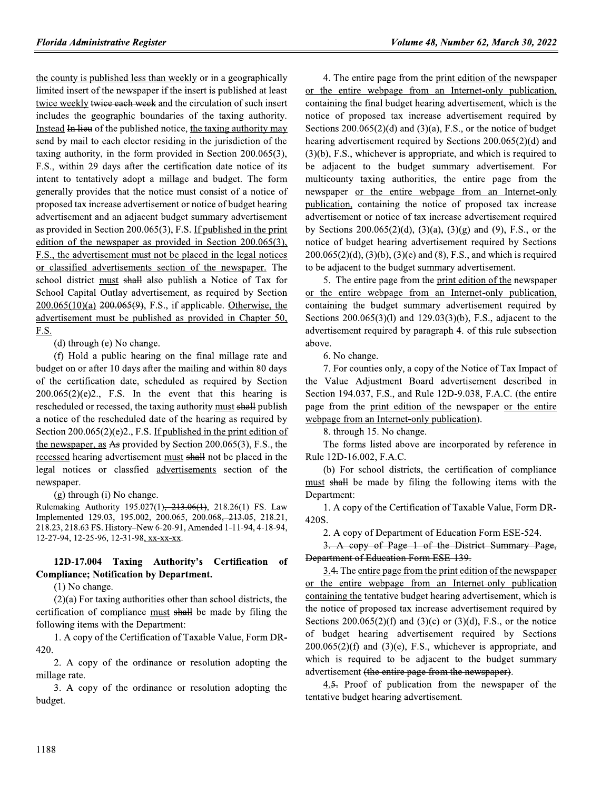the county is published less than weekly or in a geographically limited insert of the newspaper if the insert is published at least twice weekly twice each week and the circulation of such insert includes the geographic boundaries of the taxing authority. Instead In lieu of the published notice, the taxing authority may send by mail to each elector residing in the jurisdiction of the taxing authority, in the form provided in Section  $200.065(3)$ , F.S., within 29 days after the certification date notice of its intent to tentatively adopt a millage and budget. The form generally provides that the notice must consist of a notice of proposed tax increase advertisement or notice of budget hearing advertisement and an adjacent budget summary advertisement as provided in Section 200.065(3), F.S. If published in the print edition of the newspaper as provided in Section  $200.065(3)$ , F.S., the advertisement must not be placed in the legal notices or classified advertisements section of the newspaper. The school district must shall also publish a Notice of Tax for School Capital Outlay advertisement, as required by Section  $200.065(10)(a)$   $200.065(9)$ , F.S., if applicable. Otherwise, the advertisement must be published as provided in Chapter 50, **F.S.** 

 $(d)$  through  $(e)$  No change.

(f) Hold a public hearing on the final millage rate and budget on or after 10 days after the mailing and within 80 days of the certification date, scheduled as required by Section  $200.065(2)(e)2$ , F.S. In the event that this hearing is rescheduled or recessed, the taxing authority must shall publish a notice of the rescheduled date of the hearing as required by Section  $200.065(2)(e)2$ ., F.S. If published in the print edition of the newspaper, as As provided by Section  $200.065(3)$ , F.S., the recessed hearing advertisement must shall not be placed in the legal notices or classfied advertisements section of the newspaper.

(g) through (i) No change.

Rulemaking Authority 195.027(1), 213.06(1), 218.26(1) FS. Law Implemented 129.03, 195.002, 200.065, 200.068<del>, 213.05</del>, 218.21, 218.23, 218.63 FS. History-New 6-20-91, Amended 1-11-94, 4-18-94, 12-27-94, 12-25-96, 12-31-98, xx-xx-xx.

### 12D-17.004 Taxing Authority's Certification of **Compliance; Notification by Department.**

 $(1)$  No change.

 $(2)(a)$  For taxing authorities other than school districts, the certification of compliance must shall be made by filing the following items with the Department:

1. A copy of the Certification of Taxable Value, Form DR-420.

2. A copy of the ordinance or resolution adopting the millage rate.

3. A copy of the ordinance or resolution adopting the budget.

4. The entire page from the print edition of the newspaper or the entire webpage from an Internet-only publication, containing the final budget hearing advertisement, which is the notice of proposed tax increase advertisement required by Sections  $200.065(2)(d)$  and  $(3)(a)$ , F.S., or the notice of budget hearing advertisement required by Sections 200.065(2)(d) and  $(3)(b)$ , F.S., whichever is appropriate, and which is required to be adjacent to the budget summary advertisement. For multicounty taxing authorities, the entire page from the newspaper or the entire webpage from an Internet-only publication, containing the notice of proposed tax increase advertisement or notice of tax increase advertisement required by Sections 200.065(2)(d), (3)(a), (3)(g) and (9), F.S., or the notice of budget hearing advertisement required by Sections  $200.065(2)(d)$ ,  $(3)(b)$ ,  $(3)(e)$  and  $(8)$ , F.S., and which is required to be adjacent to the budget summary advertisement.

5. The entire page from the print edition of the newspaper or the entire webpage from an Internet-only publication, containing the budget summary advertisement required by Sections  $200.065(3)(1)$  and  $129.03(3)(b)$ , F.S., adjacent to the advertisement required by paragraph 4. of this rule subsection above.

6. No change.

7. For counties only, a copy of the Notice of Tax Impact of the Value Adjustment Board advertisement described in Section 194.037, F.S., and Rule 12D-9.038, F.A.C. (the entire page from the print edition of the newspaper or the entire webpage from an Internet-only publication).

8. through 15. No change.

The forms listed above are incorporated by reference in Rule 12D-16.002, F.A.C.

(b) For school districts, the certification of compliance must shall be made by filing the following items with the Department:

1. A copy of the Certification of Taxable Value, Form DR-420S.

2. A copy of Department of Education Form ESE-524.

3. A copy of Page 1 of the District Summary Page, Department of Education Form ESE-139.

3.4. The entire page from the print edition of the newspaper or the entire webpage from an Internet-only publication containing the tentative budget hearing advertisement, which is the notice of proposed tax increase advertisement required by Sections 200.065(2)(f) and (3)(c) or (3)(d), F.S., or the notice of budget hearing advertisement required by Sections  $200.065(2)(f)$  and  $(3)(e)$ , F.S., whichever is appropriate, and which is required to be adjacent to the budget summary advertisement (the entire page from the newspaper).

4.<del>5.</del> Proof of publication from the newspaper of the tentative budget hearing advertisement.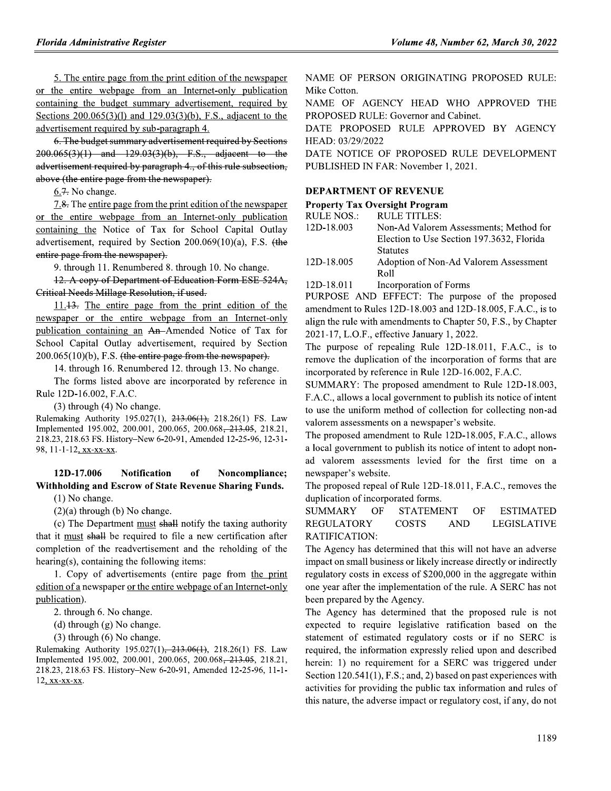**Florida Administrative Register**<br>  $\frac{1}{2}$ . The entire webpage from an Internet-only publication MAME OF PER<br>
or the entire webpage from an Internet-only publication Mike Cotton.<br>
containing the budget summary advertise

12. A copy of Department of Education Form ESE 524A,<br>Critical Needs Millage Resolution, if used.

or the entire webpage from an Internet-only publication<br>
containing the Noice of Tax for School Capital Outlay<br>
advertisement, required by Section 200.069(10)(a), F.S. (the<br>
entire page from the newspaper).<br>
9. through 11

# 12D-17.006 Notification of Noncompliance;<br>Withholding and Escrow of State Revenue Sharing Funds.

(3) through (4) No change.<br>
(3) through (4) How the the signal manuform cases the uniform Huelmaking Authority 195.027(1), 243-466(4), 218.26(1) FS. Law volteer ansessment and the proposed and value and value and value of

NAME OF PERSON ORIGINATING PROPOSED RULE: Mike Cotton.

NAME OF AGENCY HEAD WHO APPROVED THE PROPOSED RULE: Governor and Cabinet.

DATE PROPOSED RULE APPROVED BY AGENCY HEAD: 03/29/2022

# **DEPARTMENT OF REVENUE**

## Property Tax Oversight Program

| equired by Sections                                                            | HEAD: 03/29/2022                                                 |                                                                   |  |  |  |
|--------------------------------------------------------------------------------|------------------------------------------------------------------|-------------------------------------------------------------------|--|--|--|
| adjacent to the                                                                | DATE NOTICE OF PROPOSED RULE DEVELOPMENT                         |                                                                   |  |  |  |
| his rule subsection,                                                           | PUBLISHED IN FAR: November 1, 2021.                              |                                                                   |  |  |  |
|                                                                                |                                                                  |                                                                   |  |  |  |
|                                                                                |                                                                  | <b>DEPARTMENT OF REVENUE</b>                                      |  |  |  |
| n of the newspaper                                                             |                                                                  | <b>Property Tax Oversight Program</b>                             |  |  |  |
| t-only publication                                                             | RULE NOS.:                                                       | <b>RULE TITLES:</b>                                               |  |  |  |
| ol Capital Outlay                                                              | 12D-18.003                                                       | Non-Ad Valorem Assessments; Method for                            |  |  |  |
| $9(10)(a)$ , F.S. (the                                                         |                                                                  | Election to Use Section 197.3632, Florida                         |  |  |  |
|                                                                                |                                                                  | <b>Statutes</b>                                                   |  |  |  |
| 0. No change.                                                                  | 12D-18.005                                                       | Adoption of Non-Ad Valorem Assessment                             |  |  |  |
| <del>1 Form ESE 524A,</del>                                                    |                                                                  | Roll                                                              |  |  |  |
|                                                                                | 12D-18.011                                                       | Incorporation of Forms                                            |  |  |  |
|                                                                                |                                                                  | PURPOSE AND EFFECT: The purpose of the proposed                   |  |  |  |
| int edition of the                                                             |                                                                  | amendment to Rules 12D-18.003 and 12D-18.005, F.A.C., is to       |  |  |  |
| an Internet-only                                                               |                                                                  | align the rule with amendments to Chapter 50, F.S., by Chapter    |  |  |  |
| Votice of Tax for                                                              | 2021-17, L.O.F., effective January 1, 2022.                      |                                                                   |  |  |  |
| quired by Section                                                              | The purpose of repealing Rule 12D-18.011, F.A.C., is to          |                                                                   |  |  |  |
| e newspaper).<br>h 13. No change.<br>ed by reference in                        | remove the duplication of the incorporation of forms that are    |                                                                   |  |  |  |
|                                                                                |                                                                  | incorporated by reference in Rule 12D-16.002, F.A.C.              |  |  |  |
|                                                                                | SUMMARY: The proposed amendment to Rule 12D-18.003,              |                                                                   |  |  |  |
|                                                                                |                                                                  | F.A.C., allows a local government to publish its notice of intent |  |  |  |
| 218.26(1) FS. Law<br>068 <del>, 213.05</del> , 218.21,<br>ded 12-25-96, 12-31- |                                                                  | to use the uniform method of collection for collecting non-ad     |  |  |  |
|                                                                                | valorem assessments on a newspaper's website.                    |                                                                   |  |  |  |
|                                                                                | The proposed amendment to Rule 12D-18.005, F.A.C., allows        |                                                                   |  |  |  |
|                                                                                | a local government to publish its notice of intent to adopt non- |                                                                   |  |  |  |
|                                                                                |                                                                  | ad valorem assessments levied for the first time on a             |  |  |  |
| Noncompliance;                                                                 | newspaper's website.                                             |                                                                   |  |  |  |
| e Sharino Funds                                                                |                                                                  | The proposed repeal of Rule 12D-18 011 $F A C$ removes the        |  |  |  |
|                                                                                |                                                                  |                                                                   |  |  |  |

<u>print edition of the</u> unneurlament to Rules 12D-18 001 and 2D-18 001 and the state and the state of Tax for the Society of Tax Content (New order of the state of the state of the state of the state of the proposed of rep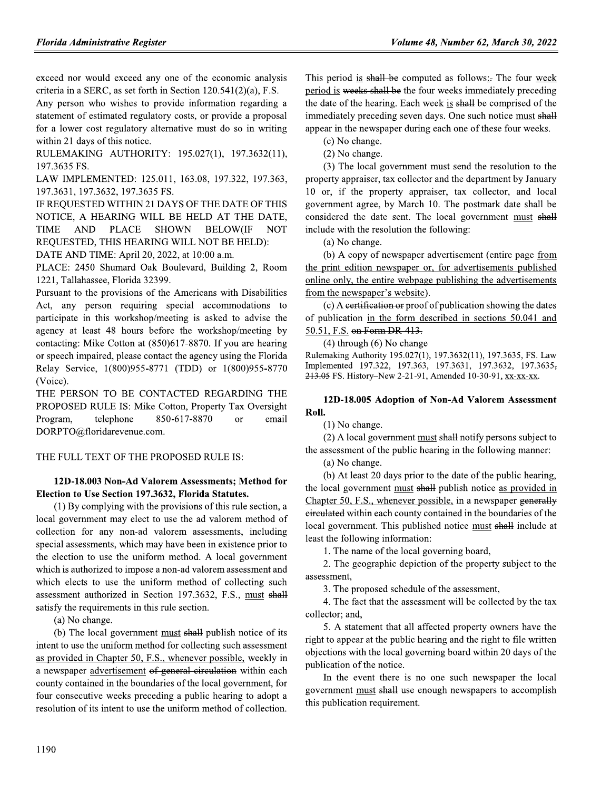exceed nor would exceed any one of the economic analysis criteria in a SERC, as set forth in Section 120.541(2)(a), F.S.

Any person who wishes to provide information regarding a statement of estimated regulatory costs, or provide a proposal for a lower cost regulatory alternative must do so in writing within 21 days of this notice.

RULEMAKING AUTHORITY: 195.027(1), 197.3632(11), 197.3635 FS.

LAW IMPLEMENTED: 125.011, 163.08, 197.322, 197.363, 197.3631, 197.3632, 197.3635 FS.

IF REQUESTED WITHIN 21 DAYS OF THE DATE OF THIS NOTICE, A HEARING WILL BE HELD AT THE DATE, **TIME AND PLACE** SHOWN **BELOW(IF NOT** REQUESTED, THIS HEARING WILL NOT BE HELD):

DATE AND TIME: April 20, 2022, at 10:00 a.m.

PLACE: 2450 Shumard Oak Boulevard, Building 2, Room 1221, Tallahassee, Florida 32399.

Pursuant to the provisions of the Americans with Disabilities Act, any person requiring special accommodations to participate in this workshop/meeting is asked to advise the agency at least 48 hours before the workshop/meeting by contacting: Mike Cotton at (850)617-8870. If you are hearing or speech impaired, please contact the agency using the Florida Relay Service, 1(800)955-8771 (TDD) or 1(800)955-8770 (Voice).

THE PERSON TO BE CONTACTED REGARDING THE PROPOSED RULE IS: Mike Cotton, Property Tax Oversight Program, telephone 850-617-8870 <sub>or</sub> email DORPTO@floridarevenue.com.

# THE FULL TEXT OF THE PROPOSED RULE IS:

# 12D-18.003 Non-Ad Valorem Assessments; Method for Election to Use Section 197.3632, Florida Statutes.

(1) By complying with the provisions of this rule section, a local government may elect to use the ad valorem method of collection for any non-ad valorem assessments, including special assessments, which may have been in existence prior to the election to use the uniform method. A local government which is authorized to impose a non-ad valorem assessment and which elects to use the uniform method of collecting such assessment authorized in Section 197.3632, F.S., must shall satisfy the requirements in this rule section.

(a) No change.

(b) The local government must shall publish notice of its intent to use the uniform method for collecting such assessment as provided in Chapter 50, F.S., whenever possible, weekly in a newspaper advertisement of general circulation within each county contained in the boundaries of the local government, for four consecutive weeks preceding a public hearing to adopt a resolution of its intent to use the uniform method of collection. This period is shall be computed as follows: The four week period is weeks shall be the four weeks immediately preceding the date of the hearing. Each week is shall be comprised of the immediately preceding seven days. One such notice must shall appear in the newspaper during each one of these four weeks.

(c) No change.

(2) No change.

(3) The local government must send the resolution to the property appraiser, tax collector and the department by January 10 or, if the property appraiser, tax collector, and local government agree, by March 10. The postmark date shall be considered the date sent. The local government must shall include with the resolution the following:

(a) No change.

(b) A copy of newspaper advertisement (entire page from the print edition newspaper or, for advertisements published online only, the entire webpage publishing the advertisements from the newspaper's website).

(c) A certification or proof of publication showing the dates of publication in the form described in sections 50.041 and 50.51, F.S. on Form DR-413.

 $(4)$  through  $(6)$  No change

Rulemaking Authority 195.027(1), 197.3632(11), 197.3635, FS. Law Implemented 197.322, 197.363, 197.3631, 197.3632, 197.3635, 213.05 FS. History–New 2-21-91, Amended 10-30-91, xx-xx-xx.

# 12D-18.005 Adoption of Non-Ad Valorem Assessment Roll.

 $(1)$  No change.

(2) A local government must shall notify persons subject to the assessment of the public hearing in the following manner:

(a) No change.

(b) At least 20 days prior to the date of the public hearing, the local government must shall publish notice as provided in Chapter 50, F.S., whenever possible, in a newspaper generally eirculated within each county contained in the boundaries of the local government. This published notice must shall include at least the following information:

1. The name of the local governing board.

2. The geographic depiction of the property subject to the assessment,

3. The proposed schedule of the assessment,

4. The fact that the assessment will be collected by the tax collector; and,

5. A statement that all affected property owners have the right to appear at the public hearing and the right to file written objections with the local governing board within 20 days of the publication of the notice.

In the event there is no one such newspaper the local government must shall use enough newspapers to accomplish this publication requirement.